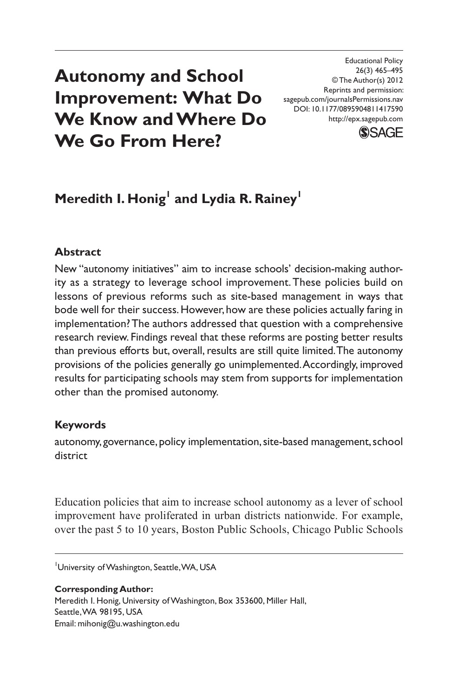# **Autonomy and School Improvement: What Do We Know and Where Do We Go From Here?**

Educational Policy 26(3) 465–495 © The Author(s) 2012 Reprints and permission: sagepub.com/journalsPermissions.nav DOI: 10.1177/0895904811417590 http://epx.sagepub.com



## **Meredith I. Honig<sup>1</sup> and Lydia R. Rainey<sup>1</sup>**

### **Abstract**

New "autonomy initiatives" aim to increase schools' decision-making authority as a strategy to leverage school improvement. These policies build on lessons of previous reforms such as site-based management in ways that bode well for their success. However, how are these policies actually faring in implementation? The authors addressed that question with a comprehensive research review. Findings reveal that these reforms are posting better results than previous efforts but, overall, results are still quite limited. The autonomy provisions of the policies generally go unimplemented. Accordingly, improved results for participating schools may stem from supports for implementation other than the promised autonomy.

#### **Keywords**

autonomy, governance, policy implementation, site-based management, school district

Education policies that aim to increase school autonomy as a lever of school improvement have proliferated in urban districts nationwide. For example, over the past 5 to 10 years, Boston Public Schools, Chicago Public Schools

University of Washington, Seattle, WA, USA

**Corresponding Author:** Meredith I. Honig, University of Washington, Box 353600, Miller Hall, Seattle, WA 98195, USA Email: mihonig@u.washington.edu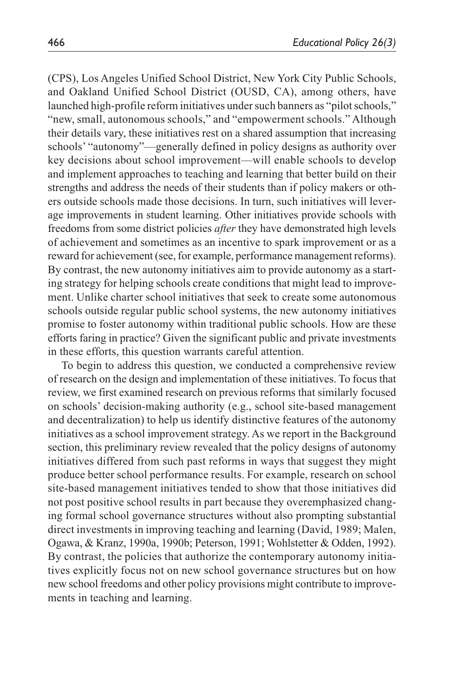(CPS), Los Angeles Unified School District, New York City Public Schools, and Oakland Unified School District (OUSD, CA), among others, have launched high-profile reform initiatives under such banners as "pilot schools," "new, small, autonomous schools," and "empowerment schools." Although their details vary, these initiatives rest on a shared assumption that increasing schools' "autonomy"—generally defined in policy designs as authority over key decisions about school improvement—will enable schools to develop and implement approaches to teaching and learning that better build on their strengths and address the needs of their students than if policy makers or others outside schools made those decisions. In turn, such initiatives will leverage improvements in student learning. Other initiatives provide schools with freedoms from some district policies *after* they have demonstrated high levels of achievement and sometimes as an incentive to spark improvement or as a reward for achievement (see, for example, performance management reforms). By contrast, the new autonomy initiatives aim to provide autonomy as a starting strategy for helping schools create conditions that might lead to improvement. Unlike charter school initiatives that seek to create some autonomous schools outside regular public school systems, the new autonomy initiatives promise to foster autonomy within traditional public schools. How are these efforts faring in practice? Given the significant public and private investments in these efforts, this question warrants careful attention.

To begin to address this question, we conducted a comprehensive review of research on the design and implementation of these initiatives. To focus that review, we first examined research on previous reforms that similarly focused on schools' decision-making authority (e.g., school site-based management and decentralization) to help us identify distinctive features of the autonomy initiatives as a school improvement strategy. As we report in the Background section, this preliminary review revealed that the policy designs of autonomy initiatives differed from such past reforms in ways that suggest they might produce better school performance results. For example, research on school site-based management initiatives tended to show that those initiatives did not post positive school results in part because they overemphasized changing formal school governance structures without also prompting substantial direct investments in improving teaching and learning (David, 1989; Malen, Ogawa, & Kranz, 1990a, 1990b; Peterson, 1991; Wohlstetter & Odden, 1992). By contrast, the policies that authorize the contemporary autonomy initiatives explicitly focus not on new school governance structures but on how new school freedoms and other policy provisions might contribute to improvements in teaching and learning.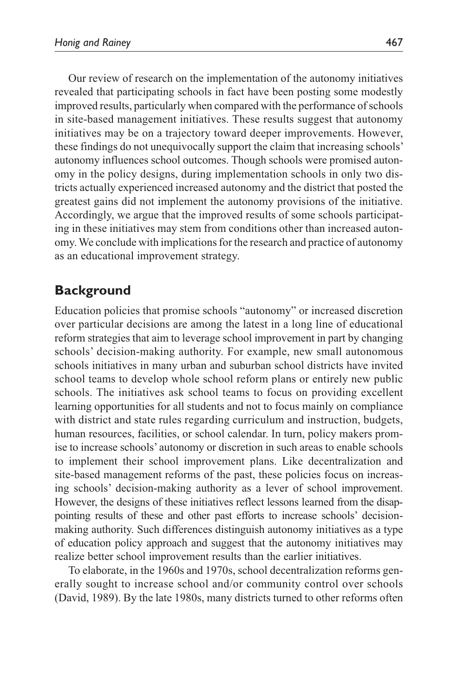Our review of research on the implementation of the autonomy initiatives revealed that participating schools in fact have been posting some modestly improved results, particularly when compared with the performance of schools in site-based management initiatives. These results suggest that autonomy initiatives may be on a trajectory toward deeper improvements. However, these findings do not unequivocally support the claim that increasing schools' autonomy influences school outcomes. Though schools were promised autonomy in the policy designs, during implementation schools in only two districts actually experienced increased autonomy and the district that posted the greatest gains did not implement the autonomy provisions of the initiative. Accordingly, we argue that the improved results of some schools participating in these initiatives may stem from conditions other than increased autonomy. We conclude with implications for the research and practice of autonomy as an educational improvement strategy.

## **Background**

Education policies that promise schools "autonomy" or increased discretion over particular decisions are among the latest in a long line of educational reform strategies that aim to leverage school improvement in part by changing schools' decision-making authority. For example, new small autonomous schools initiatives in many urban and suburban school districts have invited school teams to develop whole school reform plans or entirely new public schools. The initiatives ask school teams to focus on providing excellent learning opportunities for all students and not to focus mainly on compliance with district and state rules regarding curriculum and instruction, budgets, human resources, facilities, or school calendar. In turn, policy makers promise to increase schools' autonomy or discretion in such areas to enable schools to implement their school improvement plans. Like decentralization and site-based management reforms of the past, these policies focus on increasing schools' decision-making authority as a lever of school improvement. However, the designs of these initiatives reflect lessons learned from the disappointing results of these and other past efforts to increase schools' decisionmaking authority. Such differences distinguish autonomy initiatives as a type of education policy approach and suggest that the autonomy initiatives may realize better school improvement results than the earlier initiatives.

To elaborate, in the 1960s and 1970s, school decentralization reforms generally sought to increase school and/or community control over schools (David, 1989). By the late 1980s, many districts turned to other reforms often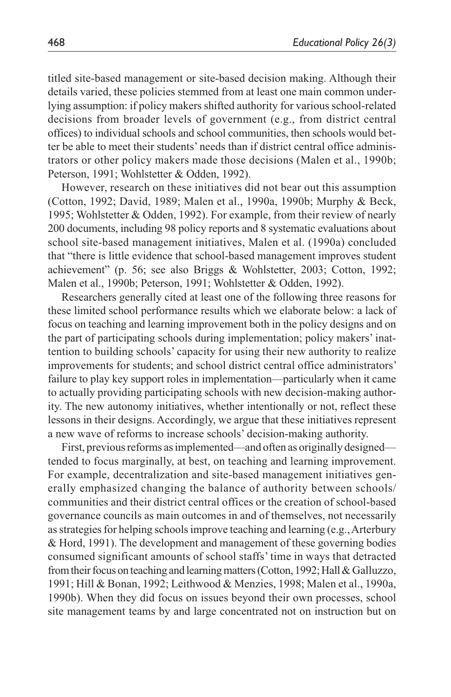titled site-based management or site-based decision making. Although their details varied, these policies stemmed from at least one main common underlying assumption: if policy makers shifted authority for various school-related decisions from broader levels of government (e.g., from district central offices) to individual schools and school communities, then schools would better be able to meet their students' needs than if district central office administrators or other policy makers made those decisions (Malen et al., 1990b; Peterson, 1991; Wohlstetter & Odden, 1992).

However, research on these initiatives did not bear out this assumption (Cotton, 1992; David, 1989; Malen et al., 1990a, 1990b; Murphy & Beck, 1995; Wohlstetter & Odden, 1992). For example, from their review of nearly 200 documents, including 98 policy reports and 8 systematic evaluations about school site-based management initiatives, Malen et al. (1990a) concluded that "there is little evidence that school-based management improves student achievement" (p. 56; see also Briggs & Wohlstetter, 2003; Cotton, 1992; Malen et al., 1990b; Peterson, 1991; Wohlstetter & Odden, 1992).

Researchers generally cited at least one of the following three reasons for these limited school performance results which we elaborate below: a lack of focus on teaching and learning improvement both in the policy designs and on the part of participating schools during implementation; policy makers' inattention to building schools' capacity for using their new authority to realize improvements for students; and school district central office administrators' failure to play key support roles in implementation—particularly when it came to actually providing participating schools with new decision-making authority. The new autonomy initiatives, whether intentionally or not, reflect these lessons in their designs. Accordingly, we argue that these initiatives represent a new wave of reforms to increase schools' decision-making authority.

First, previous reforms as implemented—and often as originally designed tended to focus marginally, at best, on teaching and learning improvement. For example, decentralization and site-based management initiatives generally emphasized changing the balance of authority between schools/ communities and their district central offices or the creation of school-based governance councils as main outcomes in and of themselves, not necessarily as strategies for helping schools improve teaching and learning (e.g., Arterbury & Hord, 1991). The development and management of these governing bodies consumed significant amounts of school staffs' time in ways that detracted from their focus on teaching and learning matters (Cotton, 1992; Hall & Galluzzo, 1991; Hill & Bonan, 1992; Leithwood & Menzies, 1998; Malen et al., 1990a, 1990b). When they did focus on issues beyond their own processes, school site management teams by and large concentrated not on instruction but on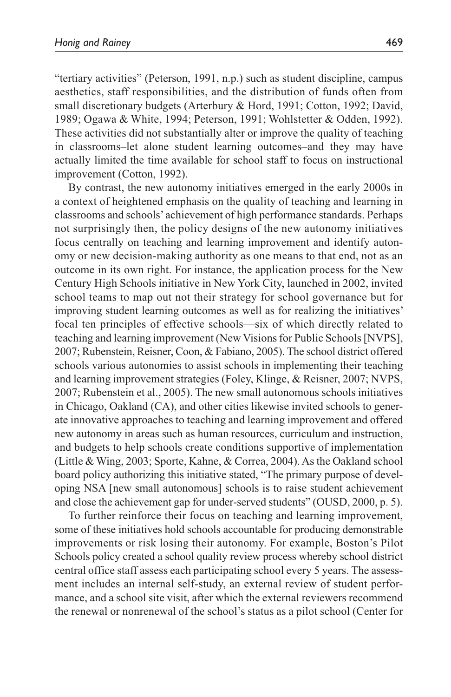"tertiary activities" (Peterson, 1991, n.p.) such as student discipline, campus aesthetics, staff responsibilities, and the distribution of funds often from small discretionary budgets (Arterbury & Hord, 1991; Cotton, 1992; David, 1989; Ogawa & White, 1994; Peterson, 1991; Wohlstetter & Odden, 1992). These activities did not substantially alter or improve the quality of teaching in classrooms–let alone student learning outcomes–and they may have actually limited the time available for school staff to focus on instructional improvement (Cotton, 1992).

By contrast, the new autonomy initiatives emerged in the early 2000s in a context of heightened emphasis on the quality of teaching and learning in classrooms and schools' achievement of high performance standards. Perhaps not surprisingly then, the policy designs of the new autonomy initiatives focus centrally on teaching and learning improvement and identify autonomy or new decision-making authority as one means to that end, not as an outcome in its own right. For instance, the application process for the New Century High Schools initiative in New York City, launched in 2002, invited school teams to map out not their strategy for school governance but for improving student learning outcomes as well as for realizing the initiatives' focal ten principles of effective schools—six of which directly related to teaching and learning improvement (New Visions for Public Schools [NVPS], 2007; Rubenstein, Reisner, Coon, & Fabiano, 2005). The school district offered schools various autonomies to assist schools in implementing their teaching and learning improvement strategies (Foley, Klinge, & Reisner, 2007; NVPS, 2007; Rubenstein et al., 2005). The new small autonomous schools initiatives in Chicago, Oakland (CA), and other cities likewise invited schools to generate innovative approaches to teaching and learning improvement and offered new autonomy in areas such as human resources, curriculum and instruction, and budgets to help schools create conditions supportive of implementation (Little & Wing, 2003; Sporte, Kahne, & Correa, 2004). As the Oakland school board policy authorizing this initiative stated, "The primary purpose of developing NSA [new small autonomous] schools is to raise student achievement and close the achievement gap for under-served students" (OUSD, 2000, p. 5).

To further reinforce their focus on teaching and learning improvement, some of these initiatives hold schools accountable for producing demonstrable improvements or risk losing their autonomy. For example, Boston's Pilot Schools policy created a school quality review process whereby school district central office staff assess each participating school every 5 years. The assessment includes an internal self-study, an external review of student performance, and a school site visit, after which the external reviewers recommend the renewal or nonrenewal of the school's status as a pilot school (Center for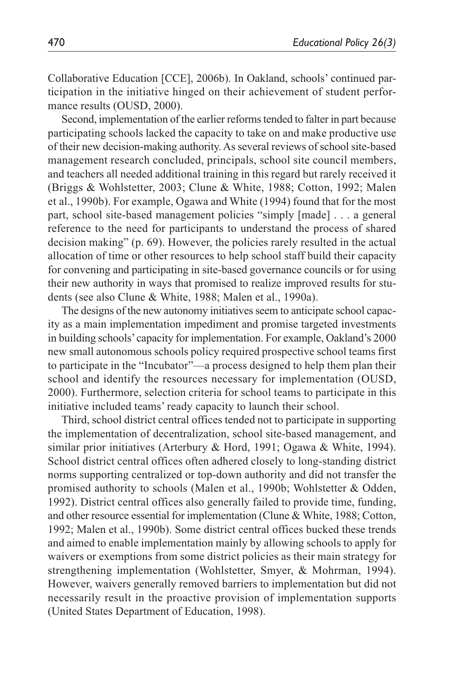Collaborative Education [CCE], 2006b). In Oakland, schools' continued participation in the initiative hinged on their achievement of student performance results (OUSD, 2000).

Second, implementation of the earlier reforms tended to falter in part because participating schools lacked the capacity to take on and make productive use of their new decision-making authority. As several reviews of school site-based management research concluded, principals, school site council members, and teachers all needed additional training in this regard but rarely received it (Briggs & Wohlstetter, 2003; Clune & White, 1988; Cotton, 1992; Malen et al., 1990b). For example, Ogawa and White (1994) found that for the most part, school site-based management policies "simply [made] . . . a general reference to the need for participants to understand the process of shared decision making" (p. 69). However, the policies rarely resulted in the actual allocation of time or other resources to help school staff build their capacity for convening and participating in site-based governance councils or for using their new authority in ways that promised to realize improved results for students (see also Clune & White, 1988; Malen et al., 1990a).

The designs of the new autonomy initiatives seem to anticipate school capacity as a main implementation impediment and promise targeted investments in building schools' capacity for implementation. For example, Oakland's 2000 new small autonomous schools policy required prospective school teams first to participate in the "Incubator"—a process designed to help them plan their school and identify the resources necessary for implementation (OUSD, 2000). Furthermore, selection criteria for school teams to participate in this initiative included teams' ready capacity to launch their school.

Third, school district central offices tended not to participate in supporting the implementation of decentralization, school site-based management, and similar prior initiatives (Arterbury & Hord, 1991; Ogawa & White, 1994). School district central offices often adhered closely to long-standing district norms supporting centralized or top-down authority and did not transfer the promised authority to schools (Malen et al., 1990b; Wohlstetter & Odden, 1992). District central offices also generally failed to provide time, funding, and other resource essential for implementation (Clune & White, 1988; Cotton, 1992; Malen et al., 1990b). Some district central offices bucked these trends and aimed to enable implementation mainly by allowing schools to apply for waivers or exemptions from some district policies as their main strategy for strengthening implementation (Wohlstetter, Smyer, & Mohrman, 1994). However, waivers generally removed barriers to implementation but did not necessarily result in the proactive provision of implementation supports (United States Department of Education, 1998).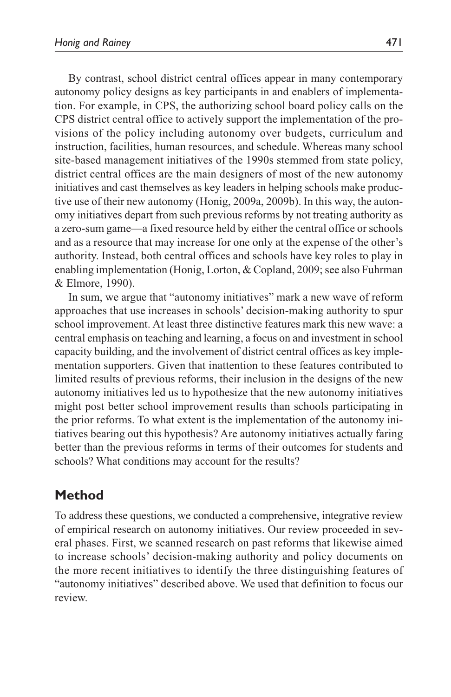By contrast, school district central offices appear in many contemporary autonomy policy designs as key participants in and enablers of implementation. For example, in CPS, the authorizing school board policy calls on the CPS district central office to actively support the implementation of the provisions of the policy including autonomy over budgets, curriculum and instruction, facilities, human resources, and schedule. Whereas many school site-based management initiatives of the 1990s stemmed from state policy, district central offices are the main designers of most of the new autonomy initiatives and cast themselves as key leaders in helping schools make productive use of their new autonomy (Honig, 2009a, 2009b). In this way, the autonomy initiatives depart from such previous reforms by not treating authority as a zero-sum game—a fixed resource held by either the central office or schools and as a resource that may increase for one only at the expense of the other's authority. Instead, both central offices and schools have key roles to play in enabling implementation (Honig, Lorton, & Copland, 2009; see also Fuhrman & Elmore, 1990).

In sum, we argue that "autonomy initiatives" mark a new wave of reform approaches that use increases in schools' decision-making authority to spur school improvement. At least three distinctive features mark this new wave: a central emphasis on teaching and learning, a focus on and investment in school capacity building, and the involvement of district central offices as key implementation supporters. Given that inattention to these features contributed to limited results of previous reforms, their inclusion in the designs of the new autonomy initiatives led us to hypothesize that the new autonomy initiatives might post better school improvement results than schools participating in the prior reforms. To what extent is the implementation of the autonomy initiatives bearing out this hypothesis? Are autonomy initiatives actually faring better than the previous reforms in terms of their outcomes for students and schools? What conditions may account for the results?

## **Method**

To address these questions, we conducted a comprehensive, integrative review of empirical research on autonomy initiatives. Our review proceeded in several phases. First, we scanned research on past reforms that likewise aimed to increase schools' decision-making authority and policy documents on the more recent initiatives to identify the three distinguishing features of "autonomy initiatives" described above. We used that definition to focus our review.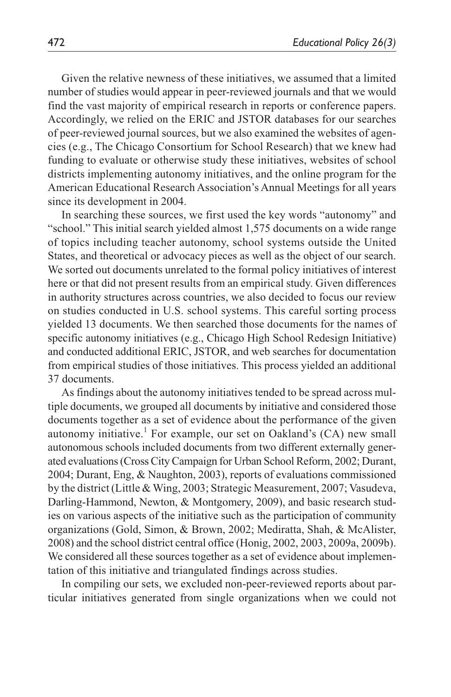Given the relative newness of these initiatives, we assumed that a limited number of studies would appear in peer-reviewed journals and that we would find the vast majority of empirical research in reports or conference papers. Accordingly, we relied on the ERIC and JSTOR databases for our searches of peer-reviewed journal sources, but we also examined the websites of agencies (e.g., The Chicago Consortium for School Research) that we knew had funding to evaluate or otherwise study these initiatives, websites of school districts implementing autonomy initiatives, and the online program for the American Educational Research Association's Annual Meetings for all years since its development in 2004.

In searching these sources, we first used the key words "autonomy" and "school." This initial search yielded almost 1,575 documents on a wide range of topics including teacher autonomy, school systems outside the United States, and theoretical or advocacy pieces as well as the object of our search. We sorted out documents unrelated to the formal policy initiatives of interest here or that did not present results from an empirical study. Given differences in authority structures across countries, we also decided to focus our review on studies conducted in U.S. school systems. This careful sorting process yielded 13 documents. We then searched those documents for the names of specific autonomy initiatives (e.g., Chicago High School Redesign Initiative) and conducted additional ERIC, JSTOR, and web searches for documentation from empirical studies of those initiatives. This process yielded an additional 37 documents.

As findings about the autonomy initiatives tended to be spread across multiple documents, we grouped all documents by initiative and considered those documents together as a set of evidence about the performance of the given autonomy initiative.<sup>1</sup> For example, our set on Oakland's (CA) new small autonomous schools included documents from two different externally generated evaluations (Cross City Campaign for Urban School Reform, 2002; Durant, 2004; Durant, Eng, & Naughton, 2003), reports of evaluations commissioned by the district (Little & Wing, 2003; Strategic Measurement, 2007; Vasudeva, Darling-Hammond, Newton, & Montgomery, 2009), and basic research studies on various aspects of the initiative such as the participation of community organizations (Gold, Simon, & Brown, 2002; Mediratta, Shah, & McAlister, 2008) and the school district central office (Honig, 2002, 2003, 2009a, 2009b). We considered all these sources together as a set of evidence about implementation of this initiative and triangulated findings across studies.

In compiling our sets, we excluded non-peer-reviewed reports about particular initiatives generated from single organizations when we could not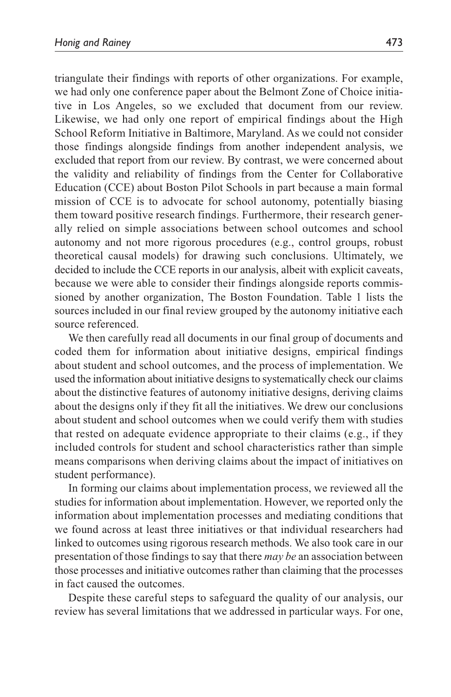triangulate their findings with reports of other organizations. For example, we had only one conference paper about the Belmont Zone of Choice initiative in Los Angeles, so we excluded that document from our review. Likewise, we had only one report of empirical findings about the High School Reform Initiative in Baltimore, Maryland. As we could not consider those findings alongside findings from another independent analysis, we excluded that report from our review. By contrast, we were concerned about the validity and reliability of findings from the Center for Collaborative Education (CCE) about Boston Pilot Schools in part because a main formal mission of CCE is to advocate for school autonomy, potentially biasing them toward positive research findings. Furthermore, their research generally relied on simple associations between school outcomes and school autonomy and not more rigorous procedures (e.g., control groups, robust theoretical causal models) for drawing such conclusions. Ultimately, we decided to include the CCE reports in our analysis, albeit with explicit caveats, because we were able to consider their findings alongside reports commissioned by another organization, The Boston Foundation. Table 1 lists the sources included in our final review grouped by the autonomy initiative each source referenced.

We then carefully read all documents in our final group of documents and coded them for information about initiative designs, empirical findings about student and school outcomes, and the process of implementation. We used the information about initiative designs to systematically check our claims about the distinctive features of autonomy initiative designs, deriving claims about the designs only if they fit all the initiatives. We drew our conclusions about student and school outcomes when we could verify them with studies that rested on adequate evidence appropriate to their claims (e.g., if they included controls for student and school characteristics rather than simple means comparisons when deriving claims about the impact of initiatives on student performance).

In forming our claims about implementation process, we reviewed all the studies for information about implementation. However, we reported only the information about implementation processes and mediating conditions that we found across at least three initiatives or that individual researchers had linked to outcomes using rigorous research methods. We also took care in our presentation of those findings to say that there *may be* an association between those processes and initiative outcomes rather than claiming that the processes in fact caused the outcomes.

Despite these careful steps to safeguard the quality of our analysis, our review has several limitations that we addressed in particular ways. For one,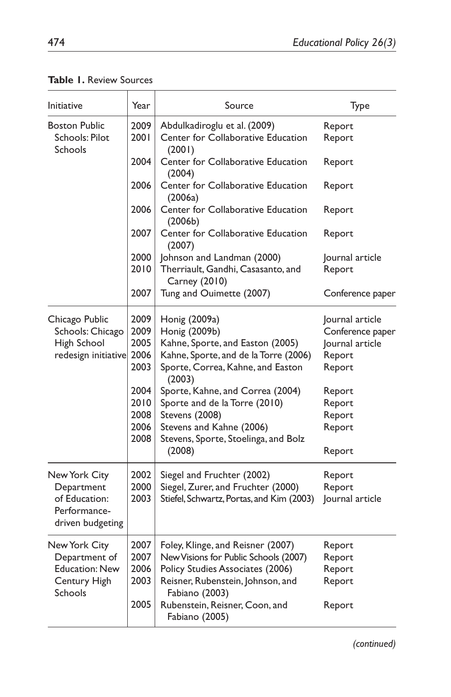| <b>Initiative</b>                                                                  | Year                                                                 | Source                                                                                                                                                                                                                                                                        | Type                                                                                                               |
|------------------------------------------------------------------------------------|----------------------------------------------------------------------|-------------------------------------------------------------------------------------------------------------------------------------------------------------------------------------------------------------------------------------------------------------------------------|--------------------------------------------------------------------------------------------------------------------|
| <b>Boston Public</b><br>Schools: Pilot<br>Schools                                  | 2009<br>2001                                                         | Abdulkadiroglu et al. (2009)<br>Center for Collaborative Education<br>(2001)                                                                                                                                                                                                  | Report<br>Report                                                                                                   |
|                                                                                    | 2004                                                                 | Center for Collaborative Education<br>(2004)                                                                                                                                                                                                                                  | Report                                                                                                             |
|                                                                                    | 2006                                                                 | Center for Collaborative Education<br>(2006a)                                                                                                                                                                                                                                 | Report                                                                                                             |
|                                                                                    | 2006                                                                 | Center for Collaborative Education<br>(2006b)                                                                                                                                                                                                                                 | Report                                                                                                             |
|                                                                                    | 2007                                                                 | Center for Collaborative Education<br>(2007)                                                                                                                                                                                                                                  | Report                                                                                                             |
|                                                                                    | 2000                                                                 | Johnson and Landman (2000)                                                                                                                                                                                                                                                    | Journal article                                                                                                    |
|                                                                                    | 2010                                                                 | Therriault, Gandhi, Casasanto, and<br>Carney (2010)                                                                                                                                                                                                                           | Report                                                                                                             |
|                                                                                    | 2007                                                                 | Tung and Ouimette (2007)                                                                                                                                                                                                                                                      | Conference paper                                                                                                   |
| Chicago Public<br>Schools: Chicago<br>High School<br>redesign initiative           | 2009<br>2009<br>2005<br>2006<br>2003<br>2004<br>2010<br>2008<br>2006 | Honig (2009a)<br>Honig (2009b)<br>Kahne, Sporte, and Easton (2005)<br>Kahne, Sporte, and de la Torre (2006)<br>Sporte, Correa, Kahne, and Easton<br>(2003)<br>Sporte, Kahne, and Correa (2004)<br>Sporte and de la Torre (2010)<br>Stevens (2008)<br>Stevens and Kahne (2006) | Journal article<br>Conference paper<br>Journal article<br>Report<br>Report<br>Report<br>Report<br>Report<br>Report |
|                                                                                    | 2008                                                                 | Stevens, Sporte, Stoelinga, and Bolz<br>(2008)                                                                                                                                                                                                                                | Report                                                                                                             |
| New York City<br>Department<br>of Education:<br>Performance-<br>driven budgeting   | 2002<br>2000<br>2003                                                 | Siegel and Fruchter (2002)<br>Siegel, Zurer, and Fruchter (2000)<br>Stiefel, Schwartz, Portas, and Kim (2003)                                                                                                                                                                 | Report<br>Report<br>Journal article                                                                                |
| New York City<br>Department of<br><b>Education: New</b><br>Century High<br>Schools | 2007<br>2007<br>2006<br>2003<br>2005                                 | Foley, Klinge, and Reisner (2007)<br>New Visions for Public Schools (2007)<br>Policy Studies Associates (2006)<br>Reisner, Rubenstein, Johnson, and<br>Fabiano (2003)<br>Rubenstein, Reisner, Coon, and<br>Fabiano (2005)                                                     | Report<br>Report<br>Report<br>Report<br>Report                                                                     |

**Table 1.** Review Sources

*(continued)*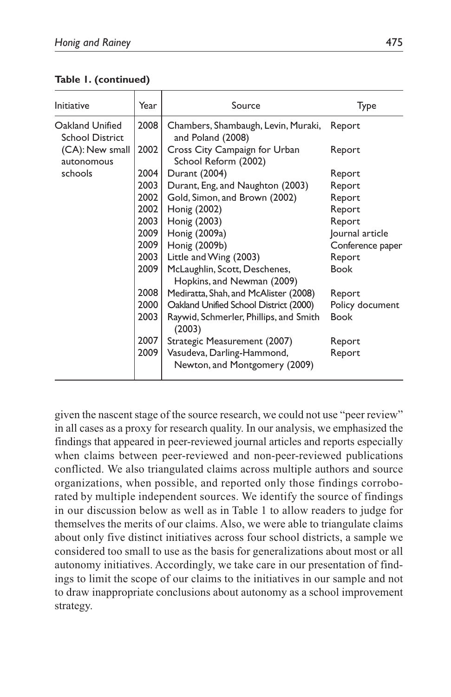| <b>Initiative</b>                                                                     | Year | Source                                                      | Type             |
|---------------------------------------------------------------------------------------|------|-------------------------------------------------------------|------------------|
| Oakland Unified<br><b>School District</b><br>(CA): New small<br>autonomous<br>schools | 2008 | Chambers, Shambaugh, Levin, Muraki,<br>and Poland (2008)    | Report           |
|                                                                                       | 2002 | Cross City Campaign for Urban<br>School Reform (2002)       | Report           |
|                                                                                       | 2004 | Durant (2004)                                               | Report           |
|                                                                                       | 2003 | Durant, Eng, and Naughton (2003)                            | Report           |
|                                                                                       | 2002 | Gold, Simon, and Brown (2002)                               | Report           |
|                                                                                       | 2002 | Honig (2002)                                                | Report           |
|                                                                                       | 2003 | Honig (2003)                                                | Report           |
|                                                                                       | 2009 | Honig (2009a)                                               | Journal article  |
|                                                                                       | 2009 | Honig (2009b)                                               | Conference paper |
|                                                                                       | 2003 | Little and Wing (2003)                                      | Report           |
|                                                                                       | 2009 | McLaughlin, Scott, Deschenes,<br>Hopkins, and Newman (2009) | <b>Book</b>      |
|                                                                                       | 2008 | Mediratta, Shah, and McAlister (2008)                       | Report           |
|                                                                                       | 2000 | Oakland Unified School District (2000)                      | Policy document  |
|                                                                                       | 2003 | Raywid, Schmerler, Phillips, and Smith<br>(2003)            | <b>Book</b>      |
|                                                                                       | 2007 | Strategic Measurement (2007)                                | Report           |
|                                                                                       | 2009 | Vasudeva, Darling-Hammond,<br>Newton, and Montgomery (2009) | Report           |

**Table 1. (continued)**

given the nascent stage of the source research, we could not use "peer review" in all cases as a proxy for research quality. In our analysis, we emphasized the findings that appeared in peer-reviewed journal articles and reports especially when claims between peer-reviewed and non-peer-reviewed publications conflicted. We also triangulated claims across multiple authors and source organizations, when possible, and reported only those findings corroborated by multiple independent sources. We identify the source of findings in our discussion below as well as in Table 1 to allow readers to judge for themselves the merits of our claims. Also, we were able to triangulate claims about only five distinct initiatives across four school districts, a sample we considered too small to use as the basis for generalizations about most or all autonomy initiatives. Accordingly, we take care in our presentation of findings to limit the scope of our claims to the initiatives in our sample and not to draw inappropriate conclusions about autonomy as a school improvement strategy.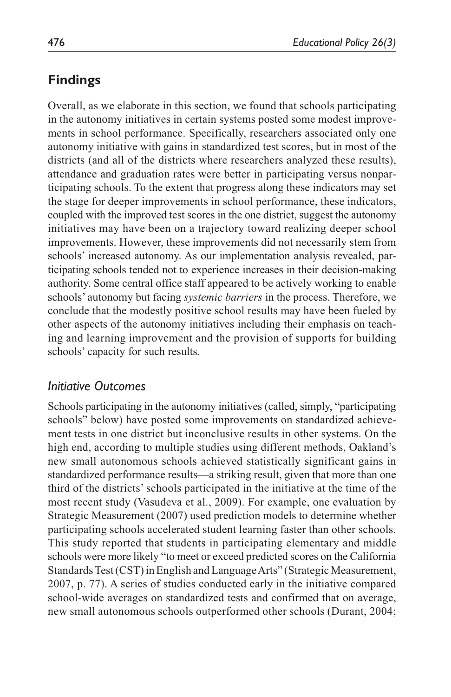## **Findings**

Overall, as we elaborate in this section, we found that schools participating in the autonomy initiatives in certain systems posted some modest improvements in school performance. Specifically, researchers associated only one autonomy initiative with gains in standardized test scores, but in most of the districts (and all of the districts where researchers analyzed these results), attendance and graduation rates were better in participating versus nonparticipating schools. To the extent that progress along these indicators may set the stage for deeper improvements in school performance, these indicators, coupled with the improved test scores in the one district, suggest the autonomy initiatives may have been on a trajectory toward realizing deeper school improvements. However, these improvements did not necessarily stem from schools' increased autonomy. As our implementation analysis revealed, participating schools tended not to experience increases in their decision-making authority. Some central office staff appeared to be actively working to enable schools' autonomy but facing *systemic barriers* in the process. Therefore, we conclude that the modestly positive school results may have been fueled by other aspects of the autonomy initiatives including their emphasis on teaching and learning improvement and the provision of supports for building schools' capacity for such results.

## *Initiative Outcomes*

Schools participating in the autonomy initiatives (called, simply, "participating schools" below) have posted some improvements on standardized achievement tests in one district but inconclusive results in other systems. On the high end, according to multiple studies using different methods, Oakland's new small autonomous schools achieved statistically significant gains in standardized performance results—a striking result, given that more than one third of the districts' schools participated in the initiative at the time of the most recent study (Vasudeva et al., 2009). For example, one evaluation by Strategic Measurement (2007) used prediction models to determine whether participating schools accelerated student learning faster than other schools. This study reported that students in participating elementary and middle schools were more likely "to meet or exceed predicted scores on the California Standards Test (CST) in English and Language Arts" (Strategic Measurement, 2007, p. 77). A series of studies conducted early in the initiative compared school-wide averages on standardized tests and confirmed that on average, new small autonomous schools outperformed other schools (Durant, 2004;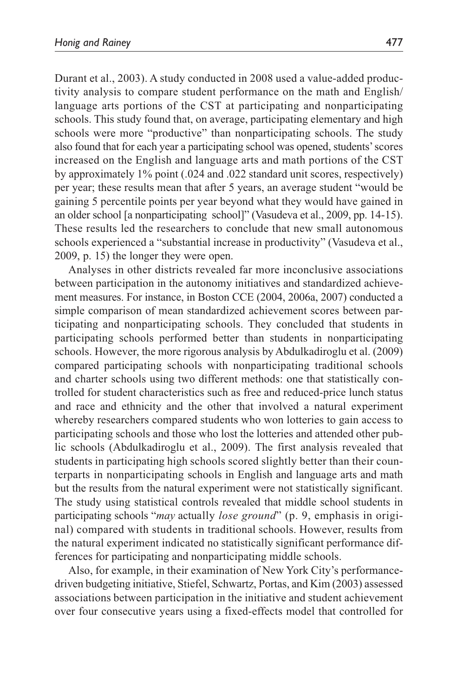Durant et al., 2003). A study conducted in 2008 used a value-added productivity analysis to compare student performance on the math and English/ language arts portions of the CST at participating and nonparticipating schools. This study found that, on average, participating elementary and high schools were more "productive" than nonparticipating schools. The study also found that for each year a participating school was opened, students' scores increased on the English and language arts and math portions of the CST by approximately 1% point (.024 and .022 standard unit scores, respectively) per year; these results mean that after 5 years, an average student "would be gaining 5 percentile points per year beyond what they would have gained in an older school [a nonparticipating school]" (Vasudeva et al., 2009, pp. 14-15). These results led the researchers to conclude that new small autonomous schools experienced a "substantial increase in productivity" (Vasudeva et al., 2009, p. 15) the longer they were open.

Analyses in other districts revealed far more inconclusive associations between participation in the autonomy initiatives and standardized achievement measures. For instance, in Boston CCE (2004, 2006a, 2007) conducted a simple comparison of mean standardized achievement scores between participating and nonparticipating schools. They concluded that students in participating schools performed better than students in nonparticipating schools. However, the more rigorous analysis by Abdulkadiroglu et al. (2009) compared participating schools with nonparticipating traditional schools and charter schools using two different methods: one that statistically controlled for student characteristics such as free and reduced-price lunch status and race and ethnicity and the other that involved a natural experiment whereby researchers compared students who won lotteries to gain access to participating schools and those who lost the lotteries and attended other public schools (Abdulkadiroglu et al., 2009). The first analysis revealed that students in participating high schools scored slightly better than their counterparts in nonparticipating schools in English and language arts and math but the results from the natural experiment were not statistically significant. The study using statistical controls revealed that middle school students in participating schools "*may* actually *lose ground*" (p. 9, emphasis in original) compared with students in traditional schools. However, results from the natural experiment indicated no statistically significant performance differences for participating and nonparticipating middle schools.

Also, for example, in their examination of New York City's performancedriven budgeting initiative, Stiefel, Schwartz, Portas, and Kim (2003) assessed associations between participation in the initiative and student achievement over four consecutive years using a fixed-effects model that controlled for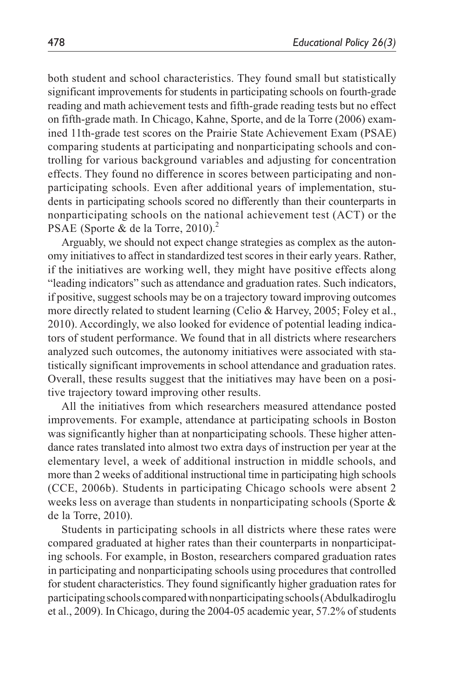both student and school characteristics. They found small but statistically significant improvements for students in participating schools on fourth-grade reading and math achievement tests and fifth-grade reading tests but no effect on fifth-grade math. In Chicago, Kahne, Sporte, and de la Torre (2006) examined 11th-grade test scores on the Prairie State Achievement Exam (PSAE) comparing students at participating and nonparticipating schools and controlling for various background variables and adjusting for concentration effects. They found no difference in scores between participating and nonparticipating schools. Even after additional years of implementation, students in participating schools scored no differently than their counterparts in nonparticipating schools on the national achievement test (ACT) or the PSAE (Sporte & de la Torre, 2010).<sup>2</sup>

Arguably, we should not expect change strategies as complex as the autonomy initiatives to affect in standardized test scores in their early years. Rather, if the initiatives are working well, they might have positive effects along "leading indicators" such as attendance and graduation rates. Such indicators, if positive, suggest schools may be on a trajectory toward improving outcomes more directly related to student learning (Celio & Harvey, 2005; Foley et al., 2010). Accordingly, we also looked for evidence of potential leading indicators of student performance. We found that in all districts where researchers analyzed such outcomes, the autonomy initiatives were associated with statistically significant improvements in school attendance and graduation rates. Overall, these results suggest that the initiatives may have been on a positive trajectory toward improving other results.

All the initiatives from which researchers measured attendance posted improvements. For example, attendance at participating schools in Boston was significantly higher than at nonparticipating schools. These higher attendance rates translated into almost two extra days of instruction per year at the elementary level, a week of additional instruction in middle schools, and more than 2 weeks of additional instructional time in participating high schools (CCE, 2006b). Students in participating Chicago schools were absent 2 weeks less on average than students in nonparticipating schools (Sporte & de la Torre, 2010).

Students in participating schools in all districts where these rates were compared graduated at higher rates than their counterparts in nonparticipating schools. For example, in Boston, researchers compared graduation rates in participating and nonparticipating schools using procedures that controlled for student characteristics. They found significantly higher graduation rates for participating schools compared with nonparticipating schools (Abdulkadiroglu et al., 2009). In Chicago, during the 2004-05 academic year, 57.2% of students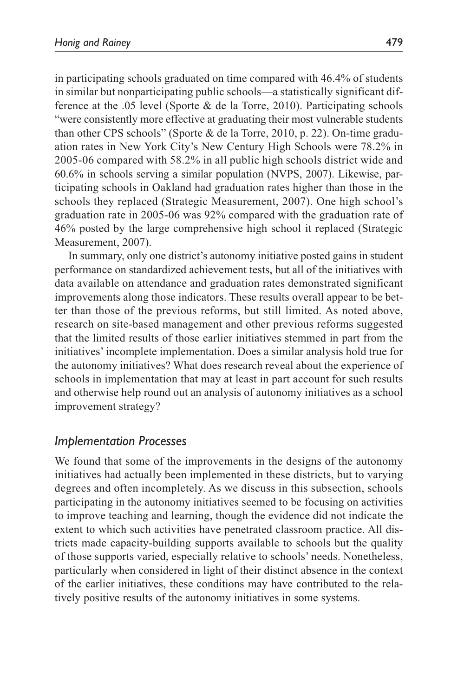in participating schools graduated on time compared with 46.4% of students in similar but nonparticipating public schools—a statistically significant difference at the .05 level (Sporte & de la Torre, 2010). Participating schools "were consistently more effective at graduating their most vulnerable students than other CPS schools" (Sporte & de la Torre, 2010, p. 22). On-time graduation rates in New York City's New Century High Schools were 78.2% in 2005-06 compared with 58.2% in all public high schools district wide and 60.6% in schools serving a similar population (NVPS, 2007). Likewise, participating schools in Oakland had graduation rates higher than those in the schools they replaced (Strategic Measurement, 2007). One high school's graduation rate in 2005-06 was 92% compared with the graduation rate of 46% posted by the large comprehensive high school it replaced (Strategic Measurement, 2007).

In summary, only one district's autonomy initiative posted gains in student performance on standardized achievement tests, but all of the initiatives with data available on attendance and graduation rates demonstrated significant improvements along those indicators. These results overall appear to be better than those of the previous reforms, but still limited. As noted above, research on site-based management and other previous reforms suggested that the limited results of those earlier initiatives stemmed in part from the initiatives' incomplete implementation. Does a similar analysis hold true for the autonomy initiatives? What does research reveal about the experience of schools in implementation that may at least in part account for such results and otherwise help round out an analysis of autonomy initiatives as a school improvement strategy?

## *Implementation Processes*

We found that some of the improvements in the designs of the autonomy initiatives had actually been implemented in these districts, but to varying degrees and often incompletely. As we discuss in this subsection, schools participating in the autonomy initiatives seemed to be focusing on activities to improve teaching and learning, though the evidence did not indicate the extent to which such activities have penetrated classroom practice. All districts made capacity-building supports available to schools but the quality of those supports varied, especially relative to schools' needs. Nonetheless, particularly when considered in light of their distinct absence in the context of the earlier initiatives, these conditions may have contributed to the relatively positive results of the autonomy initiatives in some systems.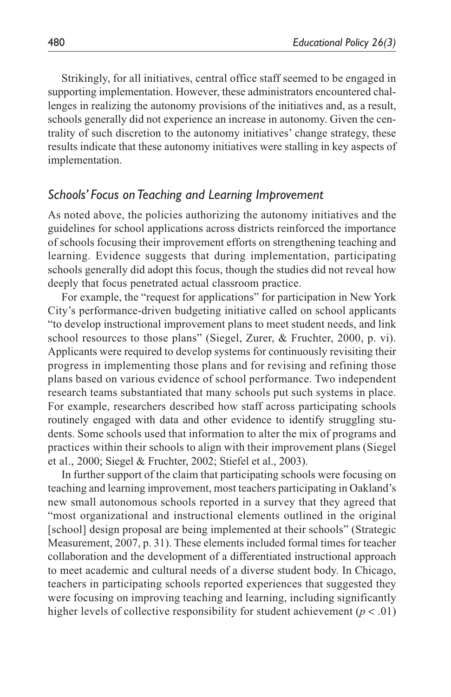Strikingly, for all initiatives, central office staff seemed to be engaged in supporting implementation. However, these administrators encountered challenges in realizing the autonomy provisions of the initiatives and, as a result, schools generally did not experience an increase in autonomy. Given the centrality of such discretion to the autonomy initiatives' change strategy, these results indicate that these autonomy initiatives were stalling in key aspects of implementation.

### *Schools' Focus on Teaching and Learning Improvement*

As noted above, the policies authorizing the autonomy initiatives and the guidelines for school applications across districts reinforced the importance of schools focusing their improvement efforts on strengthening teaching and learning. Evidence suggests that during implementation, participating schools generally did adopt this focus, though the studies did not reveal how deeply that focus penetrated actual classroom practice.

For example, the "request for applications" for participation in New York City's performance-driven budgeting initiative called on school applicants "to develop instructional improvement plans to meet student needs, and link school resources to those plans" (Siegel, Zurer, & Fruchter, 2000, p. vi). Applicants were required to develop systems for continuously revisiting their progress in implementing those plans and for revising and refining those plans based on various evidence of school performance. Two independent research teams substantiated that many schools put such systems in place. For example, researchers described how staff across participating schools routinely engaged with data and other evidence to identify struggling students. Some schools used that information to alter the mix of programs and practices within their schools to align with their improvement plans (Siegel et al., 2000; Siegel & Fruchter, 2002; Stiefel et al., 2003).

In further support of the claim that participating schools were focusing on teaching and learning improvement, most teachers participating in Oakland's new small autonomous schools reported in a survey that they agreed that "most organizational and instructional elements outlined in the original [school] design proposal are being implemented at their schools" (Strategic Measurement, 2007, p. 31). These elements included formal times for teacher collaboration and the development of a differentiated instructional approach to meet academic and cultural needs of a diverse student body. In Chicago, teachers in participating schools reported experiences that suggested they were focusing on improving teaching and learning, including significantly higher levels of collective responsibility for student achievement ( $p < .01$ )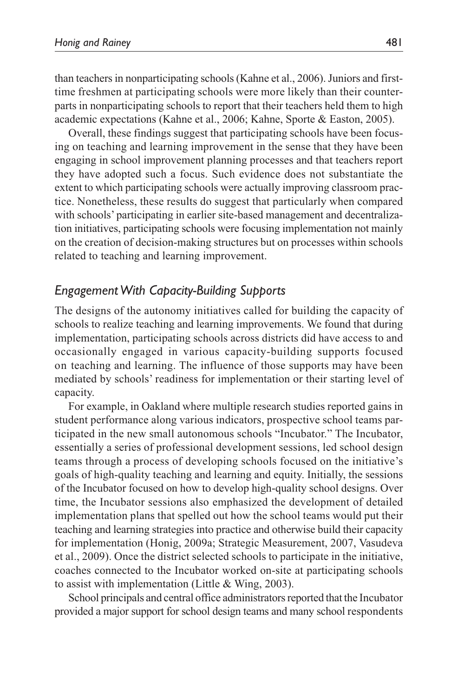than teachers in nonparticipating schools (Kahne et al., 2006). Juniors and firsttime freshmen at participating schools were more likely than their counterparts in nonparticipating schools to report that their teachers held them to high academic expectations (Kahne et al., 2006; Kahne, Sporte & Easton, 2005).

Overall, these findings suggest that participating schools have been focusing on teaching and learning improvement in the sense that they have been engaging in school improvement planning processes and that teachers report they have adopted such a focus. Such evidence does not substantiate the extent to which participating schools were actually improving classroom practice. Nonetheless, these results do suggest that particularly when compared with schools' participating in earlier site-based management and decentralization initiatives, participating schools were focusing implementation not mainly on the creation of decision-making structures but on processes within schools related to teaching and learning improvement.

## *Engagement With Capacity-Building Supports*

The designs of the autonomy initiatives called for building the capacity of schools to realize teaching and learning improvements. We found that during implementation, participating schools across districts did have access to and occasionally engaged in various capacity-building supports focused on teaching and learning. The influence of those supports may have been mediated by schools' readiness for implementation or their starting level of capacity.

For example, in Oakland where multiple research studies reported gains in student performance along various indicators, prospective school teams participated in the new small autonomous schools "Incubator." The Incubator, essentially a series of professional development sessions, led school design teams through a process of developing schools focused on the initiative's goals of high-quality teaching and learning and equity. Initially, the sessions of the Incubator focused on how to develop high-quality school designs. Over time, the Incubator sessions also emphasized the development of detailed implementation plans that spelled out how the school teams would put their teaching and learning strategies into practice and otherwise build their capacity for implementation (Honig, 2009a; Strategic Measurement, 2007, Vasudeva et al., 2009). Once the district selected schools to participate in the initiative, coaches connected to the Incubator worked on-site at participating schools to assist with implementation (Little & Wing, 2003).

School principals and central office administrators reported that the Incubator provided a major support for school design teams and many school respondents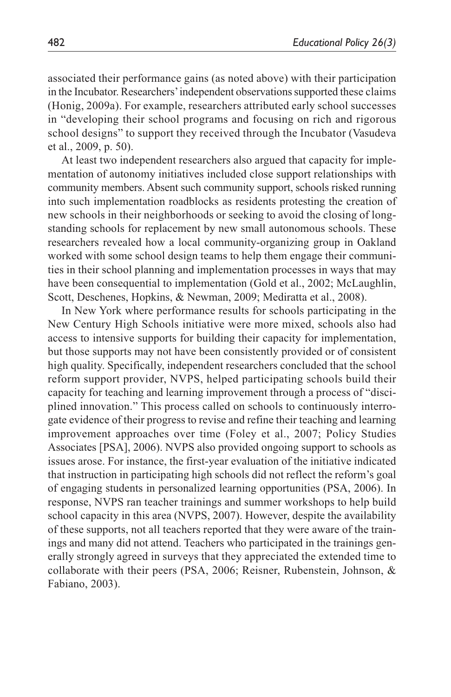associated their performance gains (as noted above) with their participation in the Incubator. Researchers' independent observations supported these claims (Honig, 2009a). For example, researchers attributed early school successes in "developing their school programs and focusing on rich and rigorous school designs" to support they received through the Incubator (Vasudeva et al., 2009, p. 50).

At least two independent researchers also argued that capacity for implementation of autonomy initiatives included close support relationships with community members. Absent such community support, schools risked running into such implementation roadblocks as residents protesting the creation of new schools in their neighborhoods or seeking to avoid the closing of longstanding schools for replacement by new small autonomous schools. These researchers revealed how a local community-organizing group in Oakland worked with some school design teams to help them engage their communities in their school planning and implementation processes in ways that may have been consequential to implementation (Gold et al., 2002; McLaughlin, Scott, Deschenes, Hopkins, & Newman, 2009; Mediratta et al., 2008).

In New York where performance results for schools participating in the New Century High Schools initiative were more mixed, schools also had access to intensive supports for building their capacity for implementation, but those supports may not have been consistently provided or of consistent high quality. Specifically, independent researchers concluded that the school reform support provider, NVPS, helped participating schools build their capacity for teaching and learning improvement through a process of "disciplined innovation." This process called on schools to continuously interrogate evidence of their progress to revise and refine their teaching and learning improvement approaches over time (Foley et al., 2007; Policy Studies Associates [PSA], 2006). NVPS also provided ongoing support to schools as issues arose. For instance, the first-year evaluation of the initiative indicated that instruction in participating high schools did not reflect the reform's goal of engaging students in personalized learning opportunities (PSA, 2006). In response, NVPS ran teacher trainings and summer workshops to help build school capacity in this area (NVPS, 2007). However, despite the availability of these supports, not all teachers reported that they were aware of the trainings and many did not attend. Teachers who participated in the trainings generally strongly agreed in surveys that they appreciated the extended time to collaborate with their peers (PSA, 2006; Reisner, Rubenstein, Johnson, & Fabiano, 2003).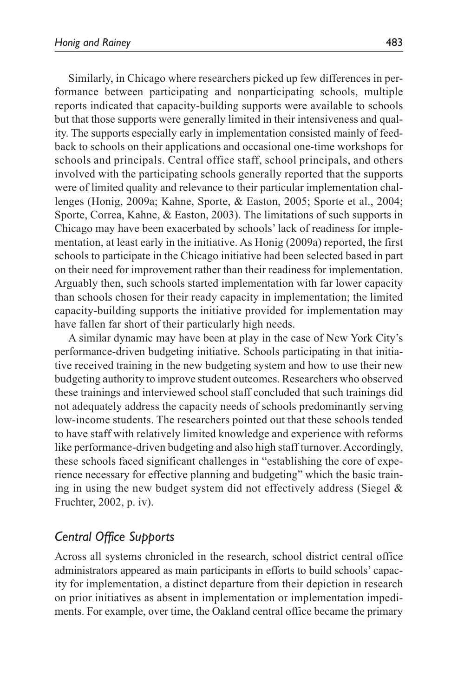Similarly, in Chicago where researchers picked up few differences in performance between participating and nonparticipating schools, multiple reports indicated that capacity-building supports were available to schools but that those supports were generally limited in their intensiveness and quality. The supports especially early in implementation consisted mainly of feedback to schools on their applications and occasional one-time workshops for schools and principals. Central office staff, school principals, and others involved with the participating schools generally reported that the supports were of limited quality and relevance to their particular implementation challenges (Honig, 2009a; Kahne, Sporte, & Easton, 2005; Sporte et al., 2004; Sporte, Correa, Kahne, & Easton, 2003). The limitations of such supports in Chicago may have been exacerbated by schools' lack of readiness for implementation, at least early in the initiative. As Honig (2009a) reported, the first schools to participate in the Chicago initiative had been selected based in part on their need for improvement rather than their readiness for implementation. Arguably then, such schools started implementation with far lower capacity than schools chosen for their ready capacity in implementation; the limited capacity-building supports the initiative provided for implementation may have fallen far short of their particularly high needs.

A similar dynamic may have been at play in the case of New York City's performance-driven budgeting initiative. Schools participating in that initiative received training in the new budgeting system and how to use their new budgeting authority to improve student outcomes. Researchers who observed these trainings and interviewed school staff concluded that such trainings did not adequately address the capacity needs of schools predominantly serving low-income students. The researchers pointed out that these schools tended to have staff with relatively limited knowledge and experience with reforms like performance-driven budgeting and also high staff turnover. Accordingly, these schools faced significant challenges in "establishing the core of experience necessary for effective planning and budgeting" which the basic training in using the new budget system did not effectively address (Siegel & Fruchter, 2002, p. iv).

## *Central Office Supports*

Across all systems chronicled in the research, school district central office administrators appeared as main participants in efforts to build schools' capacity for implementation, a distinct departure from their depiction in research on prior initiatives as absent in implementation or implementation impediments. For example, over time, the Oakland central office became the primary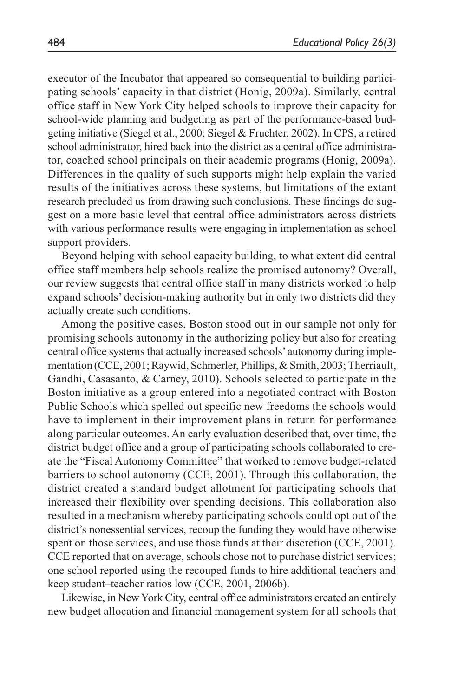executor of the Incubator that appeared so consequential to building participating schools' capacity in that district (Honig, 2009a). Similarly, central office staff in New York City helped schools to improve their capacity for school-wide planning and budgeting as part of the performance-based budgeting initiative (Siegel et al., 2000; Siegel & Fruchter, 2002). In CPS, a retired school administrator, hired back into the district as a central office administrator, coached school principals on their academic programs (Honig, 2009a). Differences in the quality of such supports might help explain the varied results of the initiatives across these systems, but limitations of the extant research precluded us from drawing such conclusions. These findings do suggest on a more basic level that central office administrators across districts with various performance results were engaging in implementation as school support providers.

Beyond helping with school capacity building, to what extent did central office staff members help schools realize the promised autonomy? Overall, our review suggests that central office staff in many districts worked to help expand schools' decision-making authority but in only two districts did they actually create such conditions.

Among the positive cases, Boston stood out in our sample not only for promising schools autonomy in the authorizing policy but also for creating central office systems that actually increased schools' autonomy during implementation (CCE, 2001; Raywid, Schmerler, Phillips, & Smith, 2003; Therriault, Gandhi, Casasanto, & Carney, 2010). Schools selected to participate in the Boston initiative as a group entered into a negotiated contract with Boston Public Schools which spelled out specific new freedoms the schools would have to implement in their improvement plans in return for performance along particular outcomes. An early evaluation described that, over time, the district budget office and a group of participating schools collaborated to create the "Fiscal Autonomy Committee" that worked to remove budget-related barriers to school autonomy (CCE, 2001). Through this collaboration, the district created a standard budget allotment for participating schools that increased their flexibility over spending decisions. This collaboration also resulted in a mechanism whereby participating schools could opt out of the district's nonessential services, recoup the funding they would have otherwise spent on those services, and use those funds at their discretion (CCE, 2001). CCE reported that on average, schools chose not to purchase district services; one school reported using the recouped funds to hire additional teachers and keep student–teacher ratios low (CCE, 2001, 2006b).

Likewise, in New York City, central office administrators created an entirely new budget allocation and financial management system for all schools that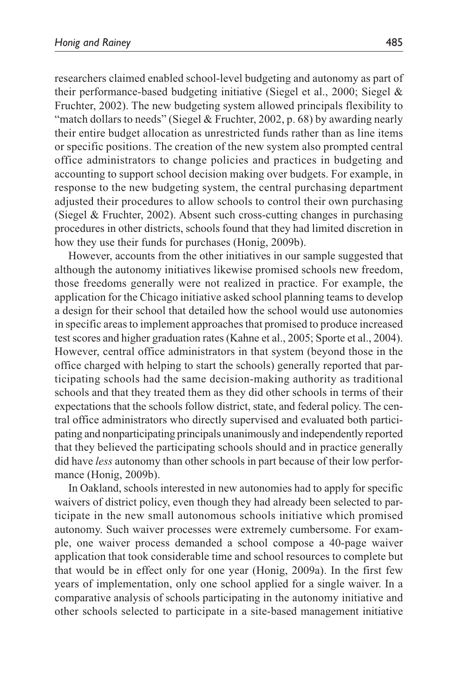researchers claimed enabled school-level budgeting and autonomy as part of their performance-based budgeting initiative (Siegel et al., 2000; Siegel & Fruchter, 2002). The new budgeting system allowed principals flexibility to "match dollars to needs" (Siegel & Fruchter, 2002, p. 68) by awarding nearly their entire budget allocation as unrestricted funds rather than as line items or specific positions. The creation of the new system also prompted central office administrators to change policies and practices in budgeting and accounting to support school decision making over budgets. For example, in response to the new budgeting system, the central purchasing department adjusted their procedures to allow schools to control their own purchasing (Siegel & Fruchter, 2002). Absent such cross-cutting changes in purchasing procedures in other districts, schools found that they had limited discretion in how they use their funds for purchases (Honig, 2009b).

However, accounts from the other initiatives in our sample suggested that although the autonomy initiatives likewise promised schools new freedom, those freedoms generally were not realized in practice. For example, the application for the Chicago initiative asked school planning teams to develop a design for their school that detailed how the school would use autonomies in specific areas to implement approaches that promised to produce increased test scores and higher graduation rates (Kahne et al., 2005; Sporte et al., 2004). However, central office administrators in that system (beyond those in the office charged with helping to start the schools) generally reported that participating schools had the same decision-making authority as traditional schools and that they treated them as they did other schools in terms of their expectations that the schools follow district, state, and federal policy. The central office administrators who directly supervised and evaluated both participating and nonparticipating principals unanimously and independently reported that they believed the participating schools should and in practice generally did have *less* autonomy than other schools in part because of their low performance (Honig, 2009b).

In Oakland, schools interested in new autonomies had to apply for specific waivers of district policy, even though they had already been selected to participate in the new small autonomous schools initiative which promised autonomy. Such waiver processes were extremely cumbersome. For example, one waiver process demanded a school compose a 40-page waiver application that took considerable time and school resources to complete but that would be in effect only for one year (Honig, 2009a). In the first few years of implementation, only one school applied for a single waiver. In a comparative analysis of schools participating in the autonomy initiative and other schools selected to participate in a site-based management initiative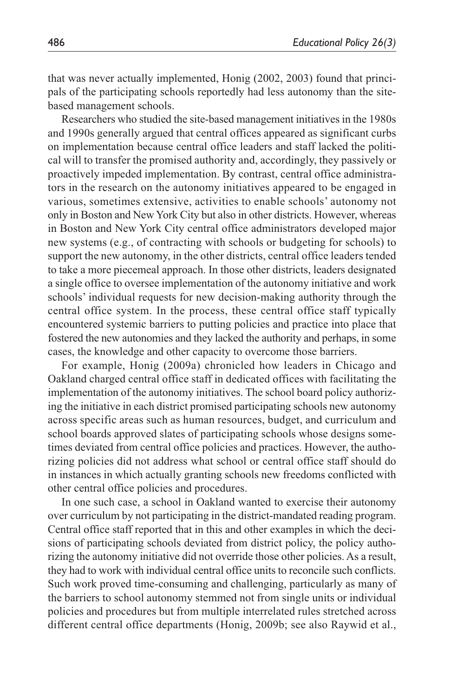that was never actually implemented, Honig (2002, 2003) found that principals of the participating schools reportedly had less autonomy than the sitebased management schools.

Researchers who studied the site-based management initiatives in the 1980s and 1990s generally argued that central offices appeared as significant curbs on implementation because central office leaders and staff lacked the political will to transfer the promised authority and, accordingly, they passively or proactively impeded implementation. By contrast, central office administrators in the research on the autonomy initiatives appeared to be engaged in various, sometimes extensive, activities to enable schools' autonomy not only in Boston and New York City but also in other districts. However, whereas in Boston and New York City central office administrators developed major new systems (e.g., of contracting with schools or budgeting for schools) to support the new autonomy, in the other districts, central office leaders tended to take a more piecemeal approach. In those other districts, leaders designated a single office to oversee implementation of the autonomy initiative and work schools' individual requests for new decision-making authority through the central office system. In the process, these central office staff typically encountered systemic barriers to putting policies and practice into place that fostered the new autonomies and they lacked the authority and perhaps, in some cases, the knowledge and other capacity to overcome those barriers.

For example, Honig (2009a) chronicled how leaders in Chicago and Oakland charged central office staff in dedicated offices with facilitating the implementation of the autonomy initiatives. The school board policy authorizing the initiative in each district promised participating schools new autonomy across specific areas such as human resources, budget, and curriculum and school boards approved slates of participating schools whose designs sometimes deviated from central office policies and practices. However, the authorizing policies did not address what school or central office staff should do in instances in which actually granting schools new freedoms conflicted with other central office policies and procedures.

In one such case, a school in Oakland wanted to exercise their autonomy over curriculum by not participating in the district-mandated reading program. Central office staff reported that in this and other examples in which the decisions of participating schools deviated from district policy, the policy authorizing the autonomy initiative did not override those other policies. As a result, they had to work with individual central office units to reconcile such conflicts. Such work proved time-consuming and challenging, particularly as many of the barriers to school autonomy stemmed not from single units or individual policies and procedures but from multiple interrelated rules stretched across different central office departments (Honig, 2009b; see also Raywid et al.,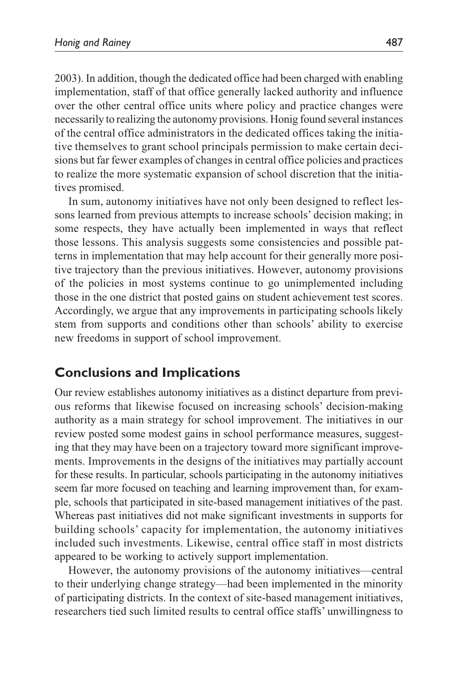2003). In addition, though the dedicated office had been charged with enabling implementation, staff of that office generally lacked authority and influence over the other central office units where policy and practice changes were necessarily to realizing the autonomy provisions. Honig found several instances of the central office administrators in the dedicated offices taking the initiative themselves to grant school principals permission to make certain decisions but far fewer examples of changes in central office policies and practices to realize the more systematic expansion of school discretion that the initiatives promised.

In sum, autonomy initiatives have not only been designed to reflect lessons learned from previous attempts to increase schools' decision making; in some respects, they have actually been implemented in ways that reflect those lessons. This analysis suggests some consistencies and possible patterns in implementation that may help account for their generally more positive trajectory than the previous initiatives. However, autonomy provisions of the policies in most systems continue to go unimplemented including those in the one district that posted gains on student achievement test scores. Accordingly, we argue that any improvements in participating schools likely stem from supports and conditions other than schools' ability to exercise new freedoms in support of school improvement.

## **Conclusions and Implications**

Our review establishes autonomy initiatives as a distinct departure from previous reforms that likewise focused on increasing schools' decision-making authority as a main strategy for school improvement. The initiatives in our review posted some modest gains in school performance measures, suggesting that they may have been on a trajectory toward more significant improvements. Improvements in the designs of the initiatives may partially account for these results. In particular, schools participating in the autonomy initiatives seem far more focused on teaching and learning improvement than, for example, schools that participated in site-based management initiatives of the past. Whereas past initiatives did not make significant investments in supports for building schools' capacity for implementation, the autonomy initiatives included such investments. Likewise, central office staff in most districts appeared to be working to actively support implementation.

However, the autonomy provisions of the autonomy initiatives—central to their underlying change strategy—had been implemented in the minority of participating districts. In the context of site-based management initiatives, researchers tied such limited results to central office staffs' unwillingness to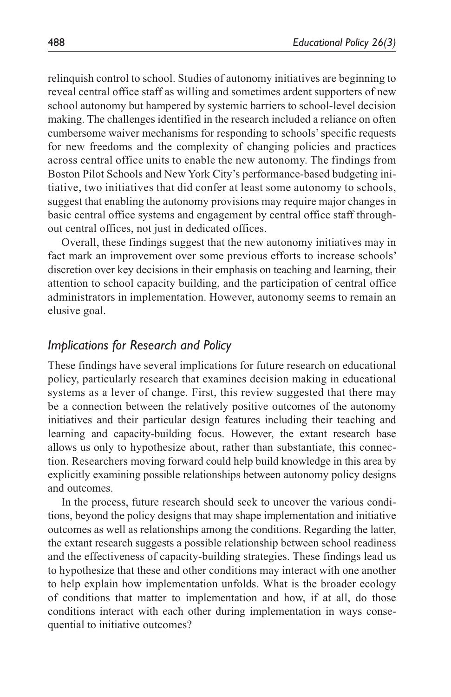relinquish control to school. Studies of autonomy initiatives are beginning to reveal central office staff as willing and sometimes ardent supporters of new school autonomy but hampered by systemic barriers to school-level decision making. The challenges identified in the research included a reliance on often cumbersome waiver mechanisms for responding to schools' specific requests for new freedoms and the complexity of changing policies and practices across central office units to enable the new autonomy. The findings from Boston Pilot Schools and New York City's performance-based budgeting initiative, two initiatives that did confer at least some autonomy to schools, suggest that enabling the autonomy provisions may require major changes in basic central office systems and engagement by central office staff throughout central offices, not just in dedicated offices.

Overall, these findings suggest that the new autonomy initiatives may in fact mark an improvement over some previous efforts to increase schools' discretion over key decisions in their emphasis on teaching and learning, their attention to school capacity building, and the participation of central office administrators in implementation. However, autonomy seems to remain an elusive goal.

## *Implications for Research and Policy*

These findings have several implications for future research on educational policy, particularly research that examines decision making in educational systems as a lever of change. First, this review suggested that there may be a connection between the relatively positive outcomes of the autonomy initiatives and their particular design features including their teaching and learning and capacity-building focus. However, the extant research base allows us only to hypothesize about, rather than substantiate, this connection. Researchers moving forward could help build knowledge in this area by explicitly examining possible relationships between autonomy policy designs and outcomes.

In the process, future research should seek to uncover the various conditions, beyond the policy designs that may shape implementation and initiative outcomes as well as relationships among the conditions. Regarding the latter, the extant research suggests a possible relationship between school readiness and the effectiveness of capacity-building strategies. These findings lead us to hypothesize that these and other conditions may interact with one another to help explain how implementation unfolds. What is the broader ecology of conditions that matter to implementation and how, if at all, do those conditions interact with each other during implementation in ways consequential to initiative outcomes?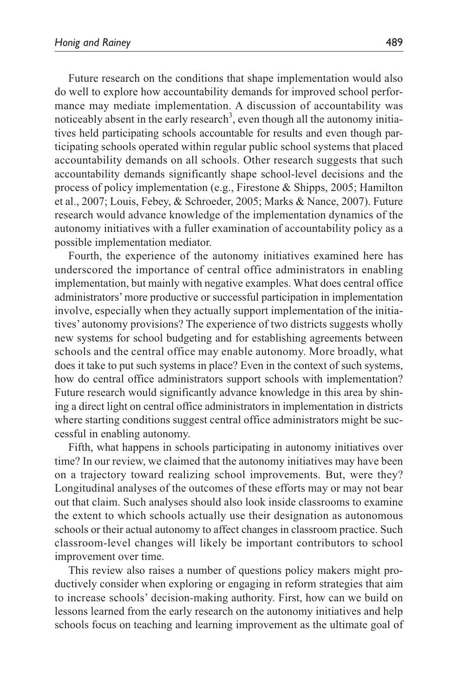Future research on the conditions that shape implementation would also do well to explore how accountability demands for improved school performance may mediate implementation. A discussion of accountability was noticeably absent in the early research<sup>3</sup>, even though all the autonomy initiatives held participating schools accountable for results and even though participating schools operated within regular public school systems that placed accountability demands on all schools. Other research suggests that such accountability demands significantly shape school-level decisions and the process of policy implementation (e.g., Firestone & Shipps, 2005; Hamilton et al., 2007; Louis, Febey, & Schroeder, 2005; Marks & Nance, 2007). Future research would advance knowledge of the implementation dynamics of the autonomy initiatives with a fuller examination of accountability policy as a possible implementation mediator.

Fourth, the experience of the autonomy initiatives examined here has underscored the importance of central office administrators in enabling implementation, but mainly with negative examples. What does central office administrators' more productive or successful participation in implementation involve, especially when they actually support implementation of the initiatives' autonomy provisions? The experience of two districts suggests wholly new systems for school budgeting and for establishing agreements between schools and the central office may enable autonomy. More broadly, what does it take to put such systems in place? Even in the context of such systems, how do central office administrators support schools with implementation? Future research would significantly advance knowledge in this area by shining a direct light on central office administrators in implementation in districts where starting conditions suggest central office administrators might be successful in enabling autonomy.

Fifth, what happens in schools participating in autonomy initiatives over time? In our review, we claimed that the autonomy initiatives may have been on a trajectory toward realizing school improvements. But, were they? Longitudinal analyses of the outcomes of these efforts may or may not bear out that claim. Such analyses should also look inside classrooms to examine the extent to which schools actually use their designation as autonomous schools or their actual autonomy to affect changes in classroom practice. Such classroom-level changes will likely be important contributors to school improvement over time.

This review also raises a number of questions policy makers might productively consider when exploring or engaging in reform strategies that aim to increase schools' decision-making authority. First, how can we build on lessons learned from the early research on the autonomy initiatives and help schools focus on teaching and learning improvement as the ultimate goal of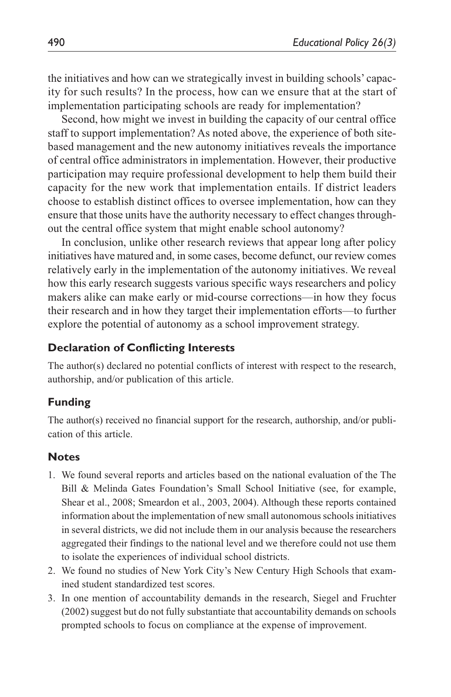the initiatives and how can we strategically invest in building schools' capacity for such results? In the process, how can we ensure that at the start of implementation participating schools are ready for implementation?

Second, how might we invest in building the capacity of our central office staff to support implementation? As noted above, the experience of both sitebased management and the new autonomy initiatives reveals the importance of central office administrators in implementation. However, their productive participation may require professional development to help them build their capacity for the new work that implementation entails. If district leaders choose to establish distinct offices to oversee implementation, how can they ensure that those units have the authority necessary to effect changes throughout the central office system that might enable school autonomy?

In conclusion, unlike other research reviews that appear long after policy initiatives have matured and, in some cases, become defunct, our review comes relatively early in the implementation of the autonomy initiatives. We reveal how this early research suggests various specific ways researchers and policy makers alike can make early or mid-course corrections—in how they focus their research and in how they target their implementation efforts—to further explore the potential of autonomy as a school improvement strategy.

#### **Declaration of Conflicting Interests**

The author(s) declared no potential conflicts of interest with respect to the research, authorship, and/or publication of this article.

#### **Funding**

The author(s) received no financial support for the research, authorship, and/or publication of this article.

#### **Notes**

- 1. We found several reports and articles based on the national evaluation of the The Bill & Melinda Gates Foundation's Small School Initiative (see, for example, Shear et al., 2008; Smeardon et al., 2003, 2004). Although these reports contained information about the implementation of new small autonomous schools initiatives in several districts, we did not include them in our analysis because the researchers aggregated their findings to the national level and we therefore could not use them to isolate the experiences of individual school districts.
- 2. We found no studies of New York City's New Century High Schools that examined student standardized test scores.
- 3. In one mention of accountability demands in the research, Siegel and Fruchter (2002) suggest but do not fully substantiate that accountability demands on schools prompted schools to focus on compliance at the expense of improvement.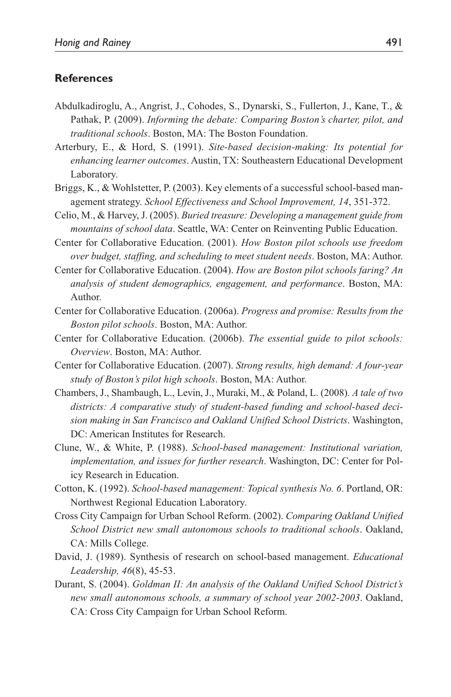#### **References**

- Abdulkadiroglu, A., Angrist, J., Cohodes, S., Dynarski, S., Fullerton, J., Kane, T., & Pathak, P. (2009). *Informing the debate: Comparing Boston's charter, pilot, and traditional schools*. Boston, MA: The Boston Foundation.
- Arterbury, E., & Hord, S. (1991). *Site-based decision-making: Its potential for enhancing learner outcomes*. Austin, TX: Southeastern Educational Development Laboratory.
- Briggs, K., & Wohlstetter, P. (2003). Key elements of a successful school-based management strategy. *School Effectiveness and School Improvement, 14*, 351-372.
- Celio, M., & Harvey, J. (2005). *Buried treasure: Developing a management guide from mountains of school data*. Seattle, WA: Center on Reinventing Public Education.
- Center for Collaborative Education. (2001). *How Boston pilot schools use freedom over budget, staffing, and scheduling to meet student needs*. Boston, MA: Author.
- Center for Collaborative Education. (2004). *How are Boston pilot schools faring? An analysis of student demographics, engagement, and performance*. Boston, MA: Author.
- Center for Collaborative Education. (2006a). *Progress and promise: Results from the Boston pilot schools*. Boston, MA: Author.
- Center for Collaborative Education. (2006b). *The essential guide to pilot schools: Overview*. Boston, MA: Author.
- Center for Collaborative Education. (2007). *Strong results, high demand: A four-year study of Boston's pilot high schools*. Boston, MA: Author.
- Chambers, J., Shambaugh, L., Levin, J., Muraki, M., & Poland, L. (2008). *A tale of two districts: A comparative study of student-based funding and school-based decision making in San Francisco and Oakland Unified School Districts*. Washington, DC: American Institutes for Research.
- Clune, W., & White, P. (1988). *School-based management: Institutional variation, implementation, and issues for further research*. Washington, DC: Center for Policy Research in Education.
- Cotton, K. (1992). *School-based management: Topical synthesis No. 6*. Portland, OR: Northwest Regional Education Laboratory.
- Cross City Campaign for Urban School Reform. (2002). *Comparing Oakland Unified School District new small autonomous schools to traditional schools*. Oakland, CA: Mills College.
- David, J. (1989). Synthesis of research on school-based management. *Educational Leadership, 46*(8), 45-53.
- Durant, S. (2004). *Goldman II: An analysis of the Oakland Unified School District's new small autonomous schools, a summary of school year 2002-2003*. Oakland, CA: Cross City Campaign for Urban School Reform.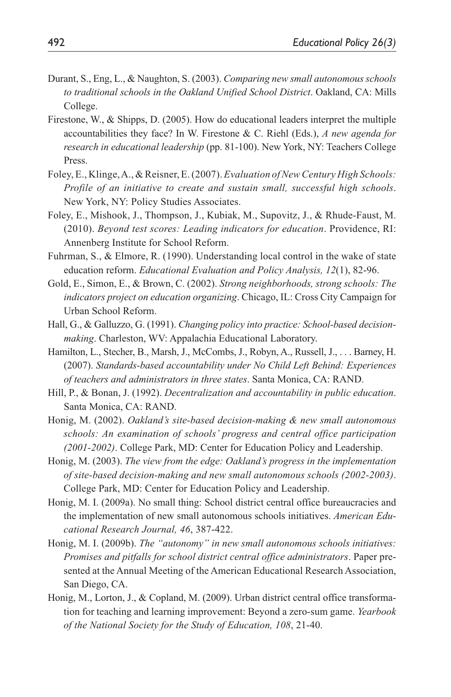- Durant, S., Eng, L., & Naughton, S. (2003). *Comparing new small autonomous schools to traditional schools in the Oakland Unified School District*. Oakland, CA: Mills College.
- Firestone, W., & Shipps, D. (2005). How do educational leaders interpret the multiple accountabilities they face? In W. Firestone & C. Riehl (Eds.), *A new agenda for research in educational leadership* (pp. 81-100). New York, NY: Teachers College Press.
- Foley, E., Klinge, A., & Reisner, E. (2007). *Evaluation of New Century High Schools: Profile of an initiative to create and sustain small, successful high schools*. New York, NY: Policy Studies Associates.
- Foley, E., Mishook, J., Thompson, J., Kubiak, M., Supovitz, J., & Rhude-Faust, M. (2010). *Beyond test scores: Leading indicators for education*. Providence, RI: Annenberg Institute for School Reform.
- Fuhrman, S., & Elmore, R. (1990). Understanding local control in the wake of state education reform. *Educational Evaluation and Policy Analysis, 12*(1), 82-96.
- Gold, E., Simon, E., & Brown, C. (2002). *Strong neighborhoods, strong schools: The indicators project on education organizing*. Chicago, IL: Cross City Campaign for Urban School Reform.
- Hall, G., & Galluzzo, G. (1991). *Changing policy into practice: School-based decisionmaking*. Charleston, WV: Appalachia Educational Laboratory.
- Hamilton, L., Stecher, B., Marsh, J., McCombs, J., Robyn, A., Russell, J., . . . Barney, H. (2007). *Standards-based accountability under No Child Left Behind: Experiences of teachers and administrators in three states*. Santa Monica, CA: RAND.
- Hill, P., & Bonan, J. (1992). *Decentralization and accountability in public education*. Santa Monica, CA: RAND.
- Honig, M. (2002). *Oakland's site-based decision-making & new small autonomous schools: An examination of schools' progress and central office participation (2001-2002)*. College Park, MD: Center for Education Policy and Leadership.
- Honig, M. (2003). *The view from the edge: Oakland's progress in the implementation of site-based decision-making and new small autonomous schools (2002-2003)*. College Park, MD: Center for Education Policy and Leadership.
- Honig, M. I. (2009a). No small thing: School district central office bureaucracies and the implementation of new small autonomous schools initiatives. *American Educational Research Journal, 46*, 387-422.
- Honig, M. I. (2009b). *The "autonomy" in new small autonomous schools initiatives: Promises and pitfalls for school district central office administrators*. Paper presented at the Annual Meeting of the American Educational Research Association, San Diego, CA.
- Honig, M., Lorton, J., & Copland, M. (2009). Urban district central office transformation for teaching and learning improvement: Beyond a zero-sum game. *Yearbook of the National Society for the Study of Education, 108*, 21-40.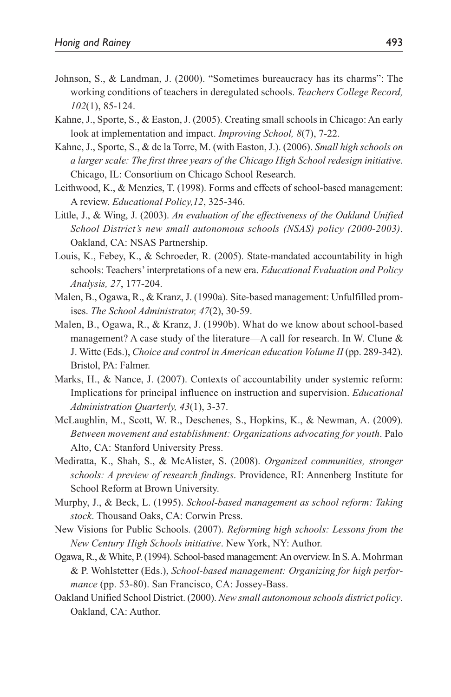- Johnson, S., & Landman, J. (2000). "Sometimes bureaucracy has its charms": The working conditions of teachers in deregulated schools. *Teachers College Record, 102*(1), 85-124.
- Kahne, J., Sporte, S., & Easton, J. (2005). Creating small schools in Chicago: An early look at implementation and impact. *Improving School, 8*(7), 7-22.
- Kahne, J., Sporte, S., & de la Torre, M. (with Easton, J.). (2006). *Small high schools on a larger scale: The first three years of the Chicago High School redesign initiative*. Chicago, IL: Consortium on Chicago School Research.
- Leithwood, K., & Menzies, T. (1998). Forms and effects of school-based management: A review. *Educational Policy,12*, 325-346.
- Little, J., & Wing, J. (2003). *An evaluation of the effectiveness of the Oakland Unified School District's new small autonomous schools (NSAS) policy (2000-2003)*. Oakland, CA: NSAS Partnership.
- Louis, K., Febey, K., & Schroeder, R. (2005). State-mandated accountability in high schools: Teachers' interpretations of a new era. *Educational Evaluation and Policy Analysis, 27*, 177-204.
- Malen, B., Ogawa, R., & Kranz, J. (1990a). Site-based management: Unfulfilled promises. *The School Administrator, 47*(2), 30-59.
- Malen, B., Ogawa, R., & Kranz, J. (1990b). What do we know about school-based management? A case study of the literature—A call for research. In W. Clune  $\&$ J. Witte (Eds.), *Choice and control in American education Volume II* (pp. 289-342). Bristol, PA: Falmer.
- Marks, H., & Nance, J. (2007). Contexts of accountability under systemic reform: Implications for principal influence on instruction and supervision. *Educational Administration Quarterly, 43*(1), 3-37.
- McLaughlin, M., Scott, W. R., Deschenes, S., Hopkins, K., & Newman, A. (2009). *Between movement and establishment: Organizations advocating for youth*. Palo Alto, CA: Stanford University Press.
- Mediratta, K., Shah, S., & McAlister, S. (2008). *Organized communities, stronger schools: A preview of research findings*. Providence, RI: Annenberg Institute for School Reform at Brown University.
- Murphy, J., & Beck, L. (1995). *School-based management as school reform: Taking stock*. Thousand Oaks, CA: Corwin Press.
- New Visions for Public Schools. (2007). *Reforming high schools: Lessons from the New Century High Schools initiative*. New York, NY: Author.
- Ogawa, R., & White, P. (1994). School-based management: An overview. In S. A. Mohrman & P. Wohlstetter (Eds.), *School-based management: Organizing for high performance* (pp. 53-80). San Francisco, CA: Jossey-Bass.
- Oakland Unified School District. (2000). *New small autonomous schools district policy*. Oakland, CA: Author.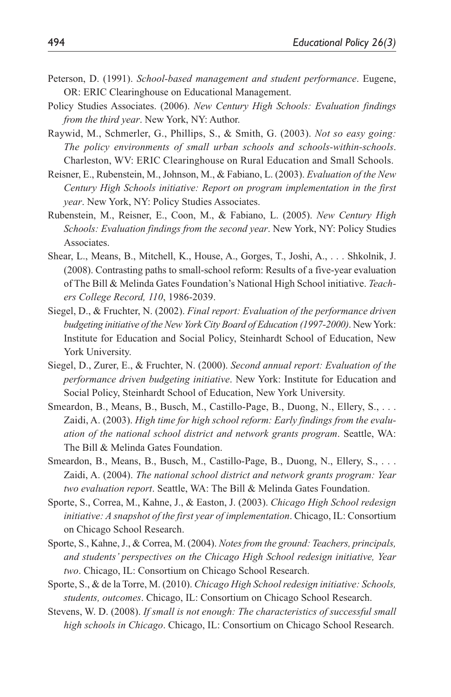- Peterson, D. (1991). *School-based management and student performance*. Eugene, OR: ERIC Clearinghouse on Educational Management.
- Policy Studies Associates. (2006). *New Century High Schools: Evaluation findings from the third year*. New York, NY: Author.
- Raywid, M., Schmerler, G., Phillips, S., & Smith, G. (2003). *Not so easy going: The policy environments of small urban schools and schools-within-schools*. Charleston, WV: ERIC Clearinghouse on Rural Education and Small Schools.
- Reisner, E., Rubenstein, M., Johnson, M., & Fabiano, L. (2003). *Evaluation of the New Century High Schools initiative: Report on program implementation in the first year*. New York, NY: Policy Studies Associates.
- Rubenstein, M., Reisner, E., Coon, M., & Fabiano, L. (2005). *New Century High Schools: Evaluation findings from the second year*. New York, NY: Policy Studies Associates.
- Shear, L., Means, B., Mitchell, K., House, A., Gorges, T., Joshi, A., . . . Shkolnik, J. (2008). Contrasting paths to small-school reform: Results of a five-year evaluation of The Bill & Melinda Gates Foundation's National High School initiative. *Teachers College Record, 110*, 1986-2039.
- Siegel, D., & Fruchter, N. (2002). *Final report: Evaluation of the performance driven budgeting initiative of the New York City Board of Education (1997-2000)*. New York: Institute for Education and Social Policy, Steinhardt School of Education, New York University.
- Siegel, D., Zurer, E., & Fruchter, N. (2000). *Second annual report: Evaluation of the performance driven budgeting initiative*. New York: Institute for Education and Social Policy, Steinhardt School of Education, New York University.
- Smeardon, B., Means, B., Busch, M., Castillo-Page, B., Duong, N., Ellery, S., . . . Zaidi, A. (2003). *High time for high school reform: Early findings from the evaluation of the national school district and network grants program*. Seattle, WA: The Bill & Melinda Gates Foundation.
- Smeardon, B., Means, B., Busch, M., Castillo-Page, B., Duong, N., Ellery, S., . . . Zaidi, A. (2004). *The national school district and network grants program: Year two evaluation report*. Seattle, WA: The Bill & Melinda Gates Foundation.
- Sporte, S., Correa, M., Kahne, J., & Easton, J. (2003). *Chicago High School redesign initiative: A snapshot of the first year of implementation*. Chicago, IL: Consortium on Chicago School Research.
- Sporte, S., Kahne, J., & Correa, M. (2004). *Notes from the ground: Teachers, principals, and students' perspectives on the Chicago High School redesign initiative, Year two*. Chicago, IL: Consortium on Chicago School Research.
- Sporte, S., & de la Torre, M. (2010). *Chicago High School redesign initiative: Schools, students, outcomes*. Chicago, IL: Consortium on Chicago School Research.
- Stevens, W. D. (2008). *If small is not enough: The characteristics of successful small high schools in Chicago*. Chicago, IL: Consortium on Chicago School Research.